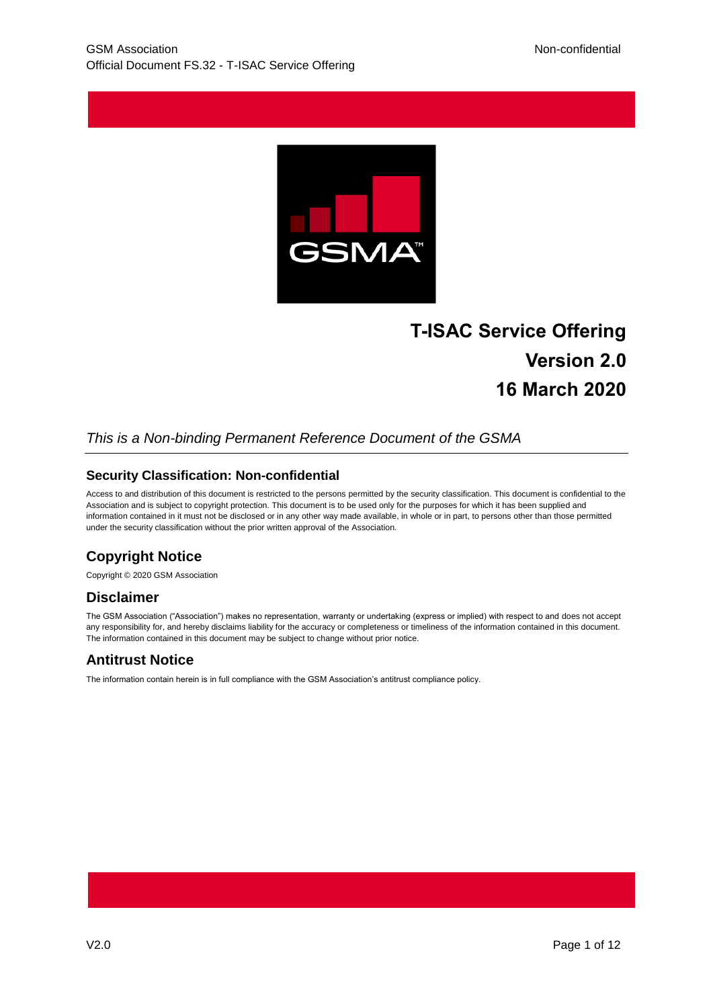

# **T-ISAC Service Offering Version 2.0 16 March 2020**

#### *This is a Non-binding Permanent Reference Document of the GSMA*

#### **Security Classification: Non-confidential**

Access to and distribution of this document is restricted to the persons permitted by the security classification. This document is confidential to the Association and is subject to copyright protection. This document is to be used only for the purposes for which it has been supplied and information contained in it must not be disclosed or in any other way made available, in whole or in part, to persons other than those permitted under the security classification without the prior written approval of the Association.

### **Copyright Notice**

Copyright © 2020 GSM Association

#### **Disclaimer**

The GSM Association ("Association") makes no representation, warranty or undertaking (express or implied) with respect to and does not accept any responsibility for, and hereby disclaims liability for the accuracy or completeness or timeliness of the information contained in this document. The information contained in this document may be subject to change without prior notice.

#### **Antitrust Notice**

The information contain herein is in full compliance with the GSM Association's antitrust compliance policy.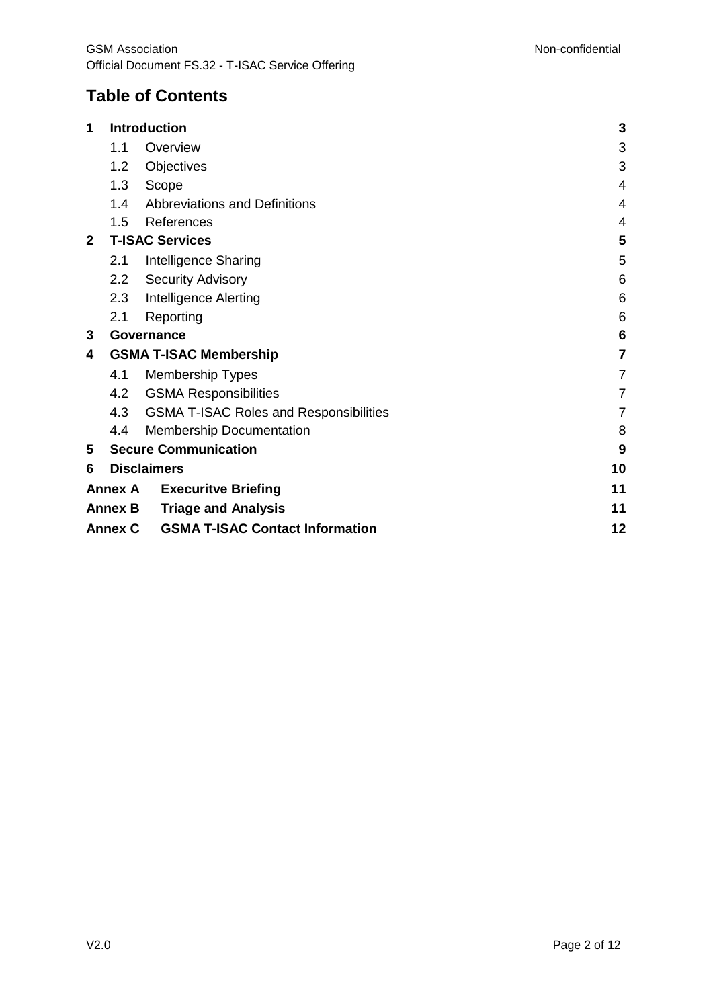# **Table of Contents**

| 1                                                        |                  | Introduction                                  | 3              |
|----------------------------------------------------------|------------------|-----------------------------------------------|----------------|
|                                                          | 1.1              | Overview                                      | 3              |
|                                                          | 1.2              | Objectives                                    | 3              |
|                                                          | 1.3              | Scope                                         | 4              |
|                                                          | 1.4              | Abbreviations and Definitions                 | 4              |
|                                                          | 1.5              | References                                    | 4              |
| $\mathbf{2}$                                             |                  | <b>T-ISAC Services</b>                        | 5              |
|                                                          | 2.1              | Intelligence Sharing                          | 5              |
|                                                          | $2.2\phantom{0}$ | <b>Security Advisory</b>                      | 6              |
|                                                          | 2.3              | Intelligence Alerting                         | 6              |
|                                                          | 2.1              | Reporting                                     | 6              |
| 3                                                        |                  | Governance                                    | 6              |
| 4                                                        |                  | <b>GSMA T-ISAC Membership</b>                 | 7              |
|                                                          | 4.1              | <b>Membership Types</b>                       | $\overline{7}$ |
|                                                          | 4.2              | <b>GSMA Responsibilities</b>                  | $\overline{7}$ |
|                                                          | 4.3              | <b>GSMA T-ISAC Roles and Responsibilities</b> | 7              |
|                                                          | 4.4              | <b>Membership Documentation</b>               | 8              |
| 5                                                        |                  | <b>Secure Communication</b>                   | 9              |
| 6                                                        |                  | <b>Disclaimers</b>                            | 10             |
| <b>Annex A</b><br><b>Execuritve Briefing</b>             |                  | 11                                            |                |
|                                                          | <b>Annex B</b>   | <b>Triage and Analysis</b>                    | 11             |
| <b>GSMA T-ISAC Contact Information</b><br><b>Annex C</b> |                  |                                               | 12             |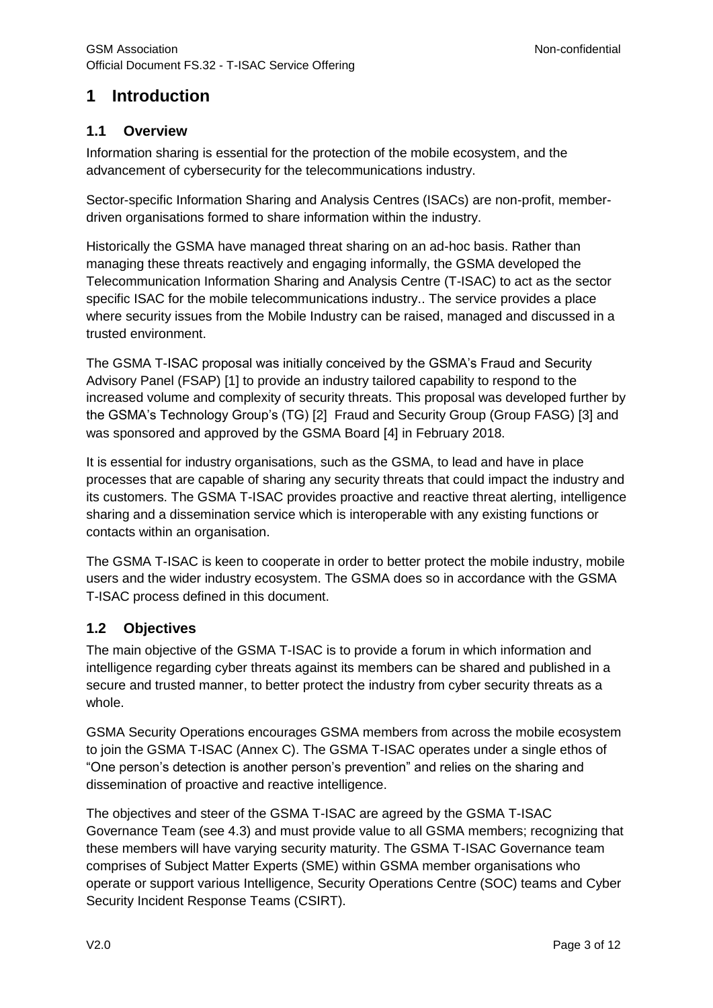# <span id="page-2-0"></span>**1 Introduction**

### <span id="page-2-1"></span>**1.1 Overview**

Information sharing is essential for the protection of the mobile ecosystem, and the advancement of cybersecurity for the telecommunications industry.

Sector-specific Information Sharing and Analysis Centres (ISACs) are non-profit, memberdriven organisations formed to share information within the industry.

Historically the GSMA have managed threat sharing on an ad-hoc basis. Rather than managing these threats reactively and engaging informally, the GSMA developed the Telecommunication Information Sharing and Analysis Centre (T-ISAC) to act as the sector specific ISAC for the mobile telecommunications industry.. The service provides a place where security issues from the Mobile Industry can be raised, managed and discussed in a trusted environment.

The GSMA T-ISAC proposal was initially conceived by the GSMA's Fraud and Security Advisory Panel (FSAP) [\[1\]](#page-3-3) to provide an industry tailored capability to respond to the increased volume and complexity of security threats. This proposal was developed further by the GSMA's Technology Group's (TG) [\[2\]](#page-3-4) Fraud and Security Group (Group FASG) [\[3\]](#page-3-5) and was sponsored and approved by the GSMA Board [\[4\]](#page-3-6) in February 2018.

It is essential for industry organisations, such as the GSMA, to lead and have in place processes that are capable of sharing any security threats that could impact the industry and its customers. The GSMA T-ISAC provides proactive and reactive threat alerting, intelligence sharing and a dissemination service which is interoperable with any existing functions or contacts within an organisation.

The GSMA T-ISAC is keen to cooperate in order to better protect the mobile industry, mobile users and the wider industry ecosystem. The GSMA does so in accordance with the GSMA T-ISAC process defined in this document.

#### <span id="page-2-2"></span>**1.2 Objectives**

The main objective of the GSMA T-ISAC is to provide a forum in which information and intelligence regarding cyber threats against its members can be shared and published in a secure and trusted manner, to better protect the industry from cyber security threats as a whole.

GSMA Security Operations encourages GSMA members from across the mobile ecosystem to join the GSMA T-ISAC [\(Annex](#page-11-0) C). The GSMA T-ISAC operates under a single ethos of "One person's detection is another person's prevention" and relies on the sharing and dissemination of proactive and reactive intelligence.

The objectives and steer of the GSMA T-ISAC are agreed by the GSMA T-ISAC Governance Team (see [4.3\)](#page-6-3) and must provide value to all GSMA members; recognizing that these members will have varying security maturity. The GSMA T-ISAC Governance team comprises of Subject Matter Experts (SME) within GSMA member organisations who operate or support various Intelligence, Security Operations Centre (SOC) teams and Cyber Security Incident Response Teams (CSIRT).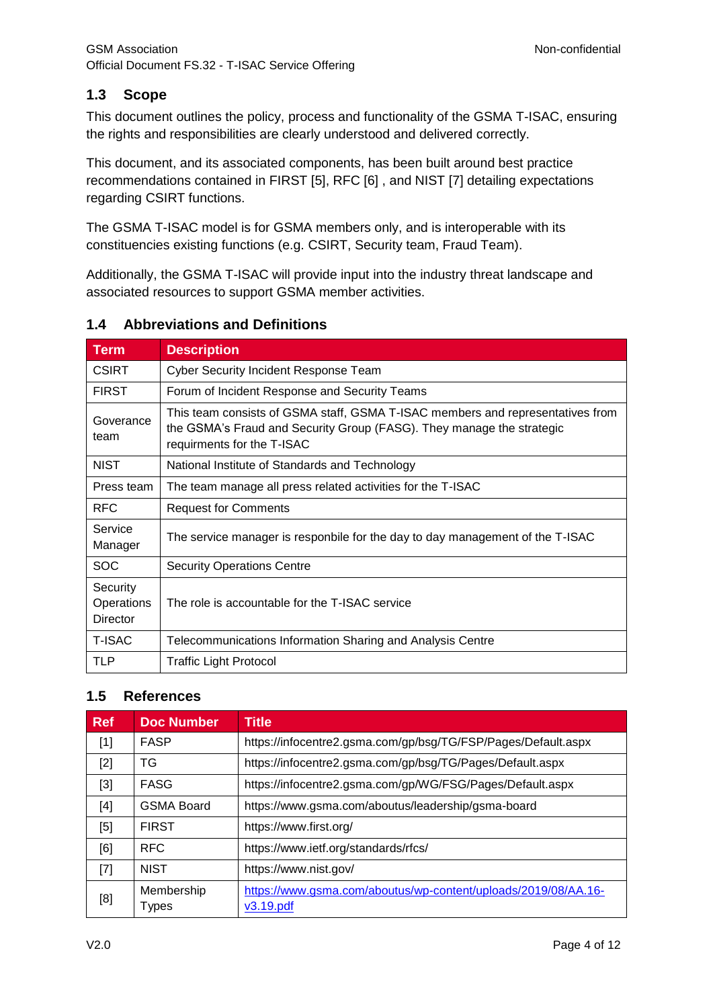#### <span id="page-3-0"></span>**1.3 Scope**

This document outlines the policy, process and functionality of the GSMA T-ISAC, ensuring the rights and responsibilities are clearly understood and delivered correctly.

This document, and its associated components, has been built around best practice recommendations contained in FIRST [\[5\],](#page-3-7) RFC [\[6\]](#page-3-8) , and NIST [\[7\]](#page-3-9) detailing expectations regarding CSIRT functions.

The GSMA T-ISAC model is for GSMA members only, and is interoperable with its constituencies existing functions (e.g. CSIRT, Security team, Fraud Team).

Additionally, the GSMA T-ISAC will provide input into the industry threat landscape and associated resources to support GSMA member activities.

#### <span id="page-3-1"></span>**1.4 Abbreviations and Definitions**

| <b>Term</b>                               | <b>Description</b>                                                                                                                                                                    |  |
|-------------------------------------------|---------------------------------------------------------------------------------------------------------------------------------------------------------------------------------------|--|
| <b>CSIRT</b>                              | <b>Cyber Security Incident Response Team</b>                                                                                                                                          |  |
| <b>FIRST</b>                              | Forum of Incident Response and Security Teams                                                                                                                                         |  |
| Goverance<br>team                         | This team consists of GSMA staff, GSMA T-ISAC members and representatives from<br>the GSMA's Fraud and Security Group (FASG). They manage the strategic<br>requirments for the T-ISAC |  |
| <b>NIST</b>                               | National Institute of Standards and Technology                                                                                                                                        |  |
| Press team                                | The team manage all press related activities for the T-ISAC                                                                                                                           |  |
| <b>RFC</b>                                | <b>Request for Comments</b>                                                                                                                                                           |  |
| Service<br>Manager                        | The service manager is responbile for the day to day management of the T-ISAC                                                                                                         |  |
| <b>SOC</b>                                | <b>Security Operations Centre</b>                                                                                                                                                     |  |
| Security<br>Operations<br><b>Director</b> | The role is accountable for the T-ISAC service                                                                                                                                        |  |
| <b>T-ISAC</b>                             | Telecommunications Information Sharing and Analysis Centre                                                                                                                            |  |
| TLP                                       | <b>Traffic Light Protocol</b>                                                                                                                                                         |  |

#### <span id="page-3-2"></span>**1.5 References**

<span id="page-3-10"></span><span id="page-3-9"></span><span id="page-3-8"></span><span id="page-3-7"></span><span id="page-3-6"></span><span id="page-3-5"></span><span id="page-3-4"></span><span id="page-3-3"></span>

| <b>Ref</b>                                                                                                                                                                                                 | <b>Doc Number</b>   | <b>Title</b>                                                                |
|------------------------------------------------------------------------------------------------------------------------------------------------------------------------------------------------------------|---------------------|-----------------------------------------------------------------------------|
| $[1] % \includegraphics[width=0.9\columnwidth]{figures/fig_10.pdf} \caption{The figure shows the number of times on the left and right. The left is the number of times on the right.} \label{fig:time} %$ | <b>FASP</b>         | https://infocentre2.gsma.com/gp/bsg/TG/FSP/Pages/Default.aspx               |
| $[2]$                                                                                                                                                                                                      | TG                  | https://infocentre2.gsma.com/gp/bsg/TG/Pages/Default.aspx                   |
| $[3]$                                                                                                                                                                                                      | <b>FASG</b>         | https://infocentre2.gsma.com/gp/WG/FSG/Pages/Default.aspx                   |
| $[4]$                                                                                                                                                                                                      | <b>GSMA Board</b>   | https://www.gsma.com/aboutus/leadership/gsma-board                          |
| [5]                                                                                                                                                                                                        | <b>FIRST</b>        | https://www.first.org/                                                      |
| [6]                                                                                                                                                                                                        | <b>RFC</b>          | https://www.ietf.org/standards/rfcs/                                        |
| $[7]$                                                                                                                                                                                                      | <b>NIST</b>         | https://www.nist.gov/                                                       |
| [8]                                                                                                                                                                                                        | Membership<br>Types | https://www.gsma.com/aboutus/wp-content/uploads/2019/08/AA.16-<br>v3.19.pdf |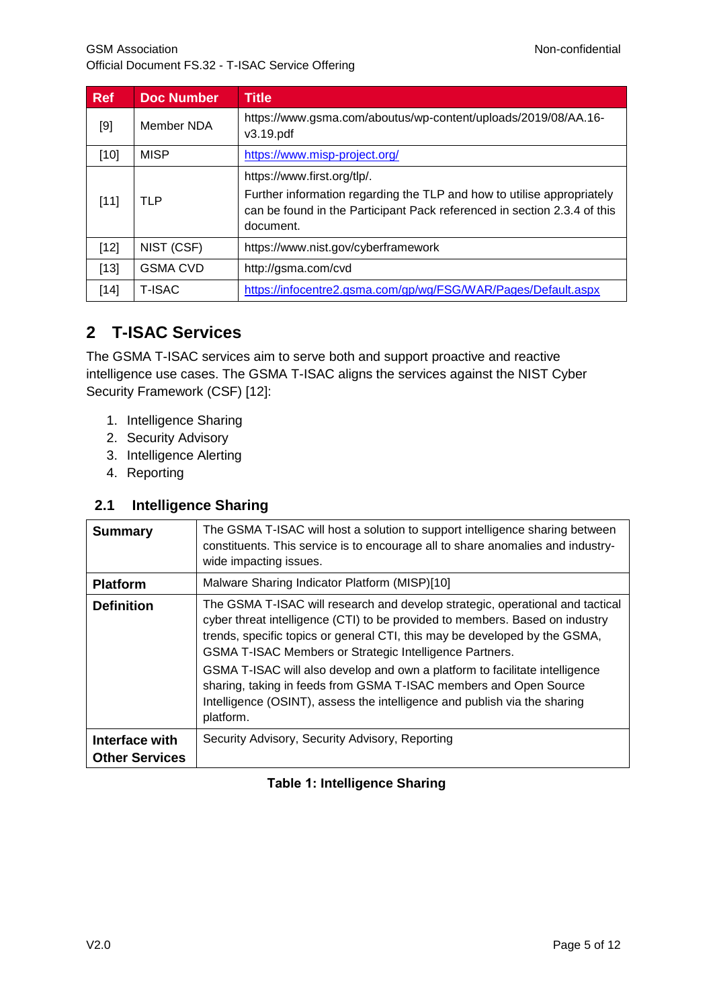<span id="page-4-6"></span><span id="page-4-3"></span>

| Ref    | <b>Doc Number</b> | <b>Title</b>                                                                                                                                                                                   |
|--------|-------------------|------------------------------------------------------------------------------------------------------------------------------------------------------------------------------------------------|
| $[9]$  | Member NDA        | https://www.gsma.com/aboutus/wp-content/uploads/2019/08/AA.16-<br>v3.19.pdf                                                                                                                    |
| [10]   | <b>MISP</b>       | https://www.misp-project.org/                                                                                                                                                                  |
| [11]   | TLP               | https://www.first.org/tlp/.<br>Further information regarding the TLP and how to utilise appropriately<br>can be found in the Participant Pack referenced in section 2.3.4 of this<br>document. |
| $[12]$ | NIST (CSF)        | https://www.nist.gov/cyberframework                                                                                                                                                            |
| $[13]$ | <b>GSMA CVD</b>   | http://gsma.com/cvd                                                                                                                                                                            |
| $[14]$ | T-ISAC            | https://infocentre2.gsma.com/gp/wg/FSG/WAR/Pages/Default.aspx                                                                                                                                  |

# <span id="page-4-5"></span><span id="page-4-4"></span><span id="page-4-2"></span><span id="page-4-0"></span>**2 T-ISAC Services**

The GSMA T-ISAC services aim to serve both and support proactive and reactive intelligence use cases. The GSMA T-ISAC aligns the services against the NIST Cyber Security Framework (CSF) [\[12\]:](#page-4-2)

- 1. Intelligence Sharing
- 2. Security Advisory
- 3. Intelligence Alerting
- 4. Reporting

#### <span id="page-4-1"></span>**2.1 Intelligence Sharing**

| <b>Summary</b>        | The GSMA T-ISAC will host a solution to support intelligence sharing between<br>constituents. This service is to encourage all to share anomalies and industry-<br>wide impacting issues.                                                                                                                                                                                                                                                                                                                                                            |
|-----------------------|------------------------------------------------------------------------------------------------------------------------------------------------------------------------------------------------------------------------------------------------------------------------------------------------------------------------------------------------------------------------------------------------------------------------------------------------------------------------------------------------------------------------------------------------------|
| <b>Platform</b>       | Malware Sharing Indicator Platform (MISP)[10]                                                                                                                                                                                                                                                                                                                                                                                                                                                                                                        |
| <b>Definition</b>     | The GSMA T-ISAC will research and develop strategic, operational and tactical<br>cyber threat intelligence (CTI) to be provided to members. Based on industry<br>trends, specific topics or general CTI, this may be developed by the GSMA,<br>GSMA T-ISAC Members or Strategic Intelligence Partners.<br>GSMA T-ISAC will also develop and own a platform to facilitate intelligence<br>sharing, taking in feeds from GSMA T-ISAC members and Open Source<br>Intelligence (OSINT), assess the intelligence and publish via the sharing<br>platform. |
| Interface with        | Security Advisory, Security Advisory, Reporting                                                                                                                                                                                                                                                                                                                                                                                                                                                                                                      |
| <b>Other Services</b> |                                                                                                                                                                                                                                                                                                                                                                                                                                                                                                                                                      |

#### **Table 1: Intelligence Sharing**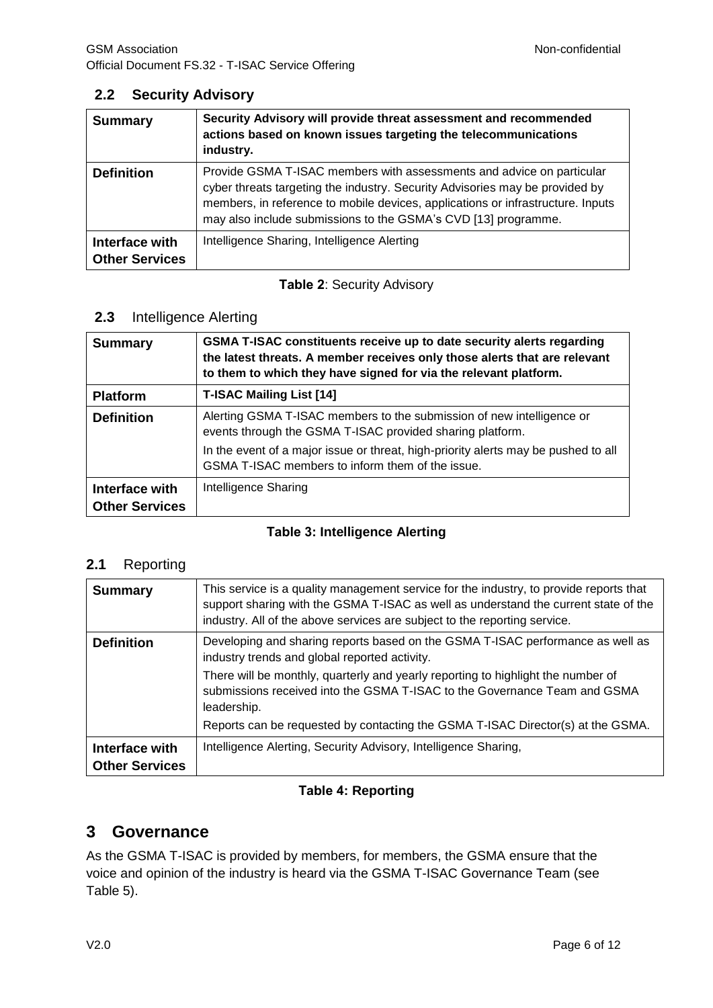#### <span id="page-5-0"></span>**2.2 Security Advisory**

| <b>Summary</b>                          | Security Advisory will provide threat assessment and recommended<br>actions based on known issues targeting the telecommunications<br>industry.                                                                                                                                                            |
|-----------------------------------------|------------------------------------------------------------------------------------------------------------------------------------------------------------------------------------------------------------------------------------------------------------------------------------------------------------|
| <b>Definition</b>                       | Provide GSMA T-ISAC members with assessments and advice on particular<br>cyber threats targeting the industry. Security Advisories may be provided by<br>members, in reference to mobile devices, applications or infrastructure. Inputs<br>may also include submissions to the GSMA's CVD [13] programme. |
| Interface with<br><b>Other Services</b> | Intelligence Sharing, Intelligence Alerting                                                                                                                                                                                                                                                                |

#### **Table 2**: Security Advisory

#### <span id="page-5-1"></span>**2.3** Intelligence Alerting

| <b>Summary</b>                          | GSMA T-ISAC constituents receive up to date security alerts regarding<br>the latest threats. A member receives only those alerts that are relevant<br>to them to which they have signed for via the relevant platform.                                                       |
|-----------------------------------------|------------------------------------------------------------------------------------------------------------------------------------------------------------------------------------------------------------------------------------------------------------------------------|
| <b>Platform</b>                         | <b>T-ISAC Mailing List [14]</b>                                                                                                                                                                                                                                              |
| <b>Definition</b>                       | Alerting GSMA T-ISAC members to the submission of new intelligence or<br>events through the GSMA T-ISAC provided sharing platform.<br>In the event of a major issue or threat, high-priority alerts may be pushed to all<br>GSMA T-ISAC members to inform them of the issue. |
| Interface with<br><b>Other Services</b> | Intelligence Sharing                                                                                                                                                                                                                                                         |

#### **Table 3: Intelligence Alerting**

#### <span id="page-5-2"></span>**2.1** Reporting

| <b>Summary</b>                          | This service is a quality management service for the industry, to provide reports that<br>support sharing with the GSMA T-ISAC as well as understand the current state of the<br>industry. All of the above services are subject to the reporting service.                                                      |
|-----------------------------------------|-----------------------------------------------------------------------------------------------------------------------------------------------------------------------------------------------------------------------------------------------------------------------------------------------------------------|
| <b>Definition</b>                       | Developing and sharing reports based on the GSMA T-ISAC performance as well as<br>industry trends and global reported activity.<br>There will be monthly, quarterly and yearly reporting to highlight the number of<br>submissions received into the GSMA T-ISAC to the Governance Team and GSMA<br>leadership. |
|                                         | Reports can be requested by contacting the GSMA T-ISAC Director(s) at the GSMA.                                                                                                                                                                                                                                 |
| Interface with<br><b>Other Services</b> | Intelligence Alerting, Security Advisory, Intelligence Sharing,                                                                                                                                                                                                                                                 |

#### **Table 4: Reporting**

### <span id="page-5-3"></span>**3 Governance**

As the GSMA T-ISAC is provided by members, for members, the GSMA ensure that the voice and opinion of the industry is heard via the GSMA T-ISAC Governance Team (see [Table 5\)](#page-7-1).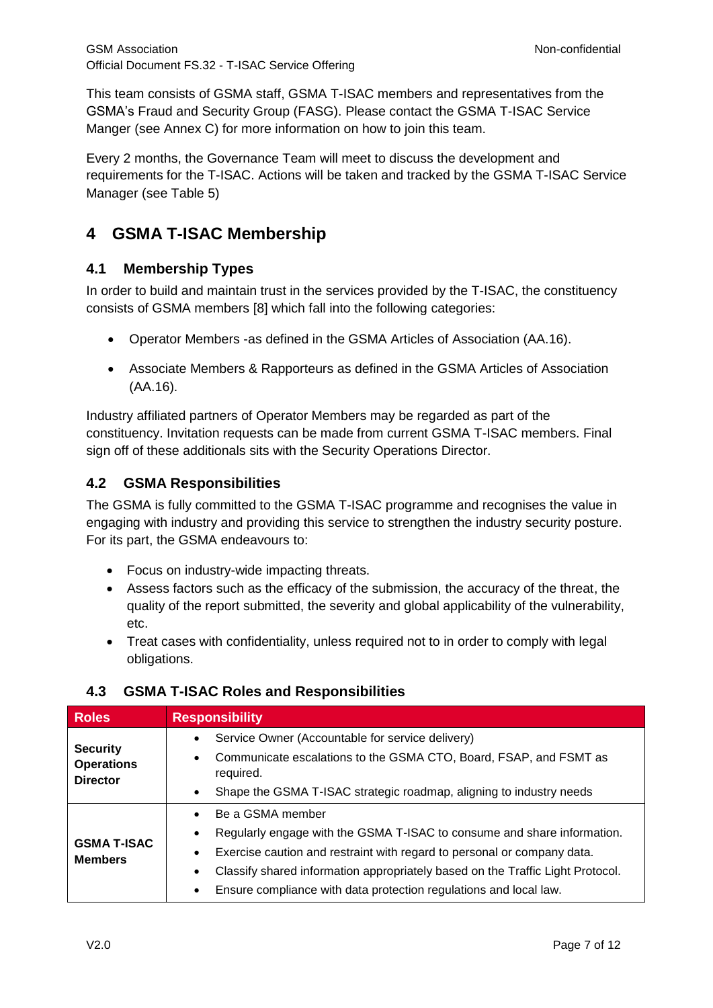This team consists of GSMA staff, GSMA T-ISAC members and representatives from the GSMA's Fraud and Security Group (FASG). Please contact the GSMA T-ISAC Service Manger (see [Annex](#page-11-0) C) for more information on how to join this team.

Every 2 months, the Governance Team will meet to discuss the development and requirements for the T-ISAC. Actions will be taken and tracked by the GSMA T-ISAC Service Manager (see [Table 5\)](#page-7-1)

## <span id="page-6-0"></span>**4 GSMA T-ISAC Membership**

#### <span id="page-6-1"></span>**4.1 Membership Types**

In order to build and maintain trust in the services provided by the T-ISAC, the constituency consists of GSMA members [\[8\]](#page-3-10) which fall into the following categories:

- Operator Members -as defined in the GSMA Articles of Association (AA.16).
- Associate Members & Rapporteurs as defined in the GSMA Articles of Association (AA.16).

Industry affiliated partners of Operator Members may be regarded as part of the constituency. Invitation requests can be made from current GSMA T-ISAC members. Final sign off of these additionals sits with the Security Operations Director.

#### <span id="page-6-2"></span>**4.2 GSMA Responsibilities**

The GSMA is fully committed to the GSMA T-ISAC programme and recognises the value in engaging with industry and providing this service to strengthen the industry security posture. For its part, the GSMA endeavours to:

- Focus on industry-wide impacting threats.
- Assess factors such as the efficacy of the submission, the accuracy of the threat, the quality of the report submitted, the severity and global applicability of the vulnerability, etc.
- Treat cases with confidentiality, unless required not to in order to comply with legal obligations.

| <b>Roles</b>                                            | <b>Responsibility</b>                                                                       |  |  |
|---------------------------------------------------------|---------------------------------------------------------------------------------------------|--|--|
|                                                         | Service Owner (Accountable for service delivery)<br>$\bullet$                               |  |  |
| <b>Security</b><br><b>Operations</b><br><b>Director</b> | Communicate escalations to the GSMA CTO, Board, FSAP, and FSMT as<br>$\bullet$<br>required. |  |  |
|                                                         | Shape the GSMA T-ISAC strategic roadmap, aligning to industry needs<br>$\bullet$            |  |  |
|                                                         | Be a GSMA member<br>$\bullet$                                                               |  |  |
| <b>GSMA T-ISAC</b>                                      | Regularly engage with the GSMA T-ISAC to consume and share information.<br>$\bullet$        |  |  |
| <b>Members</b>                                          | Exercise caution and restraint with regard to personal or company data.<br>$\bullet$        |  |  |
|                                                         | Classify shared information appropriately based on the Traffic Light Protocol.<br>$\bullet$ |  |  |
|                                                         | Ensure compliance with data protection regulations and local law.<br>$\bullet$              |  |  |

#### <span id="page-6-3"></span>**4.3 GSMA T-ISAC Roles and Responsibilities**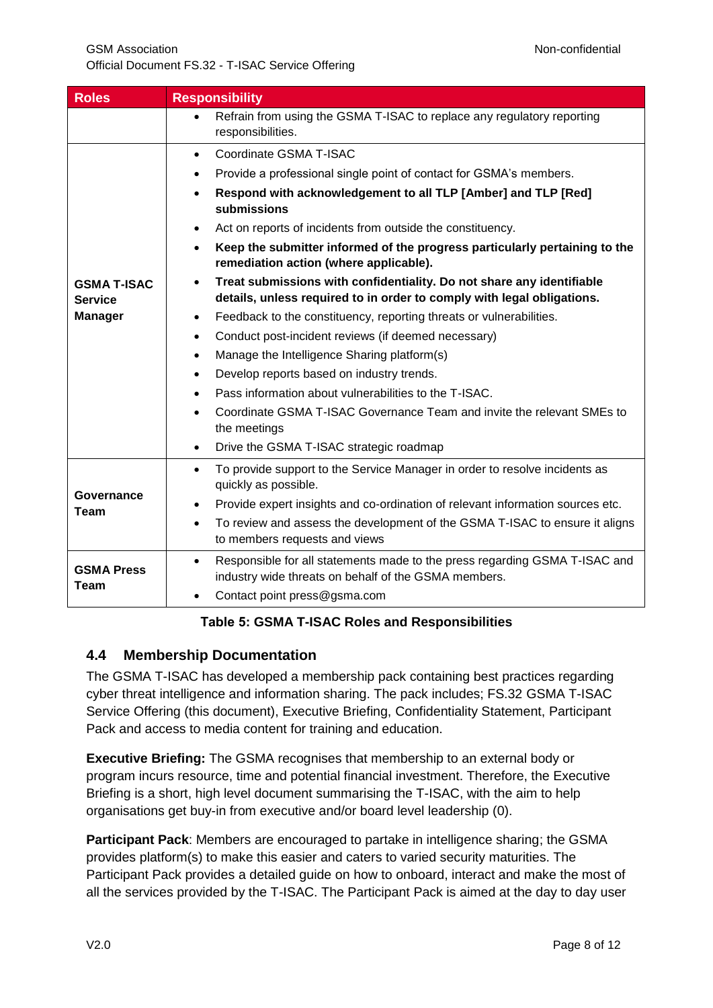| <b>Roles</b>                                           | <b>Responsibility</b>                                                                                                                                                                                                                                                                                                                                                                                                                                                                                                                                                                                                                                                                                                                                                                                                                                                                                                                                                                                                                                          |  |
|--------------------------------------------------------|----------------------------------------------------------------------------------------------------------------------------------------------------------------------------------------------------------------------------------------------------------------------------------------------------------------------------------------------------------------------------------------------------------------------------------------------------------------------------------------------------------------------------------------------------------------------------------------------------------------------------------------------------------------------------------------------------------------------------------------------------------------------------------------------------------------------------------------------------------------------------------------------------------------------------------------------------------------------------------------------------------------------------------------------------------------|--|
|                                                        | Refrain from using the GSMA T-ISAC to replace any regulatory reporting<br>$\bullet$<br>responsibilities.                                                                                                                                                                                                                                                                                                                                                                                                                                                                                                                                                                                                                                                                                                                                                                                                                                                                                                                                                       |  |
| <b>GSMA T-ISAC</b><br><b>Service</b><br><b>Manager</b> | Coordinate GSMA T-ISAC<br>$\bullet$<br>Provide a professional single point of contact for GSMA's members.<br>$\bullet$<br>Respond with acknowledgement to all TLP [Amber] and TLP [Red]<br>$\bullet$<br>submissions<br>Act on reports of incidents from outside the constituency.<br>$\bullet$<br>Keep the submitter informed of the progress particularly pertaining to the<br>$\bullet$<br>remediation action (where applicable).<br>Treat submissions with confidentiality. Do not share any identifiable<br>$\bullet$<br>details, unless required to in order to comply with legal obligations.<br>Feedback to the constituency, reporting threats or vulnerabilities.<br>$\bullet$<br>Conduct post-incident reviews (if deemed necessary)<br>$\bullet$<br>Manage the Intelligence Sharing platform(s)<br>$\bullet$<br>Develop reports based on industry trends.<br>$\bullet$<br>Pass information about vulnerabilities to the T-ISAC.<br>$\bullet$<br>Coordinate GSMA T-ISAC Governance Team and invite the relevant SMEs to<br>$\bullet$<br>the meetings |  |
| Governance<br>Team                                     | To provide support to the Service Manager in order to resolve incidents as<br>$\bullet$<br>quickly as possible.<br>Provide expert insights and co-ordination of relevant information sources etc.<br>$\bullet$<br>To review and assess the development of the GSMA T-ISAC to ensure it aligns<br>$\bullet$<br>to members requests and views                                                                                                                                                                                                                                                                                                                                                                                                                                                                                                                                                                                                                                                                                                                    |  |
| <b>GSMA Press</b><br><b>Team</b>                       | Responsible for all statements made to the press regarding GSMA T-ISAC and<br>$\bullet$<br>industry wide threats on behalf of the GSMA members.<br>Contact point press@gsma.com                                                                                                                                                                                                                                                                                                                                                                                                                                                                                                                                                                                                                                                                                                                                                                                                                                                                                |  |

#### **Table 5: GSMA T-ISAC Roles and Responsibilities**

#### <span id="page-7-1"></span><span id="page-7-0"></span>**4.4 Membership Documentation**

The GSMA T-ISAC has developed a membership pack containing best practices regarding cyber threat intelligence and information sharing. The pack includes; FS.32 GSMA T-ISAC Service Offering (this document), Executive Briefing, Confidentiality Statement, Participant Pack and access to media content for training and education.

**Executive Briefing:** The GSMA recognises that membership to an external body or program incurs resource, time and potential financial investment. Therefore, the Executive Briefing is a short, high level document summarising the T-ISAC, with the aim to help organisations get buy-in from executive and/or board level leadership [\(0\)](#page-10-2).

**Participant Pack**: Members are encouraged to partake in intelligence sharing; the GSMA provides platform(s) to make this easier and caters to varied security maturities. The Participant Pack provides a detailed guide on how to onboard, interact and make the most of all the services provided by the T-ISAC. The Participant Pack is aimed at the day to day user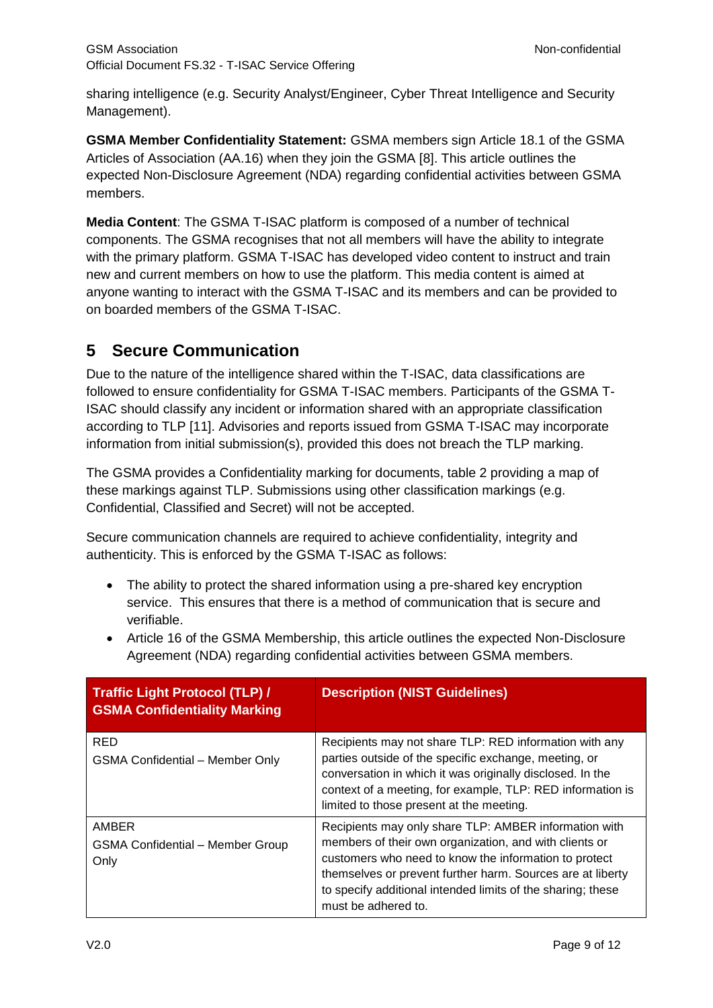sharing intelligence (e.g. Security Analyst/Engineer, Cyber Threat Intelligence and Security Management).

**GSMA Member Confidentiality Statement:** GSMA members sign Article 18.1 of the GSMA Articles of Association (AA.16) when they join the GSMA [\[8\].](#page-3-10) This article outlines the expected Non-Disclosure Agreement (NDA) regarding confidential activities between GSMA members.

**Media Content**: The GSMA T-ISAC platform is composed of a number of technical components. The GSMA recognises that not all members will have the ability to integrate with the primary platform. GSMA T-ISAC has developed video content to instruct and train new and current members on how to use the platform. This media content is aimed at anyone wanting to interact with the GSMA T-ISAC and its members and can be provided to on boarded members of the GSMA T-ISAC.

### <span id="page-8-0"></span>**5 Secure Communication**

Due to the nature of the intelligence shared within the T-ISAC, data classifications are followed to ensure confidentiality for GSMA T-ISAC members. Participants of the GSMA T-ISAC should classify any incident or information shared with an appropriate classification according to TLP [\[11\].](#page-4-6) Advisories and reports issued from GSMA T-ISAC may incorporate information from initial submission(s), provided this does not breach the TLP marking.

The GSMA provides a Confidentiality marking for documents, table 2 providing a map of these markings against TLP. Submissions using other classification markings (e.g. Confidential, Classified and Secret) will not be accepted.

Secure communication channels are required to achieve confidentiality, integrity and authenticity. This is enforced by the GSMA T-ISAC as follows:

- The ability to protect the shared information using a pre-shared key encryption service. This ensures that there is a method of communication that is secure and verifiable.
- Article 16 of the GSMA Membership, this article outlines the expected Non-Disclosure Agreement (NDA) regarding confidential activities between GSMA members.

| Traffic Light Protocol (TLP) /<br><b>GSMA Confidentiality Marking</b> | <b>Description (NIST Guidelines)</b>                                                                                                                                                                                                                                                                                         |
|-----------------------------------------------------------------------|------------------------------------------------------------------------------------------------------------------------------------------------------------------------------------------------------------------------------------------------------------------------------------------------------------------------------|
| <b>RED</b><br><b>GSMA Confidential - Member Only</b>                  | Recipients may not share TLP: RED information with any<br>parties outside of the specific exchange, meeting, or<br>conversation in which it was originally disclosed. In the<br>context of a meeting, for example, TLP: RED information is<br>limited to those present at the meeting.                                       |
| AMBER<br><b>GSMA Confidential - Member Group</b><br>Only              | Recipients may only share TLP: AMBER information with<br>members of their own organization, and with clients or<br>customers who need to know the information to protect<br>themselves or prevent further harm. Sources are at liberty<br>to specify additional intended limits of the sharing; these<br>must be adhered to. |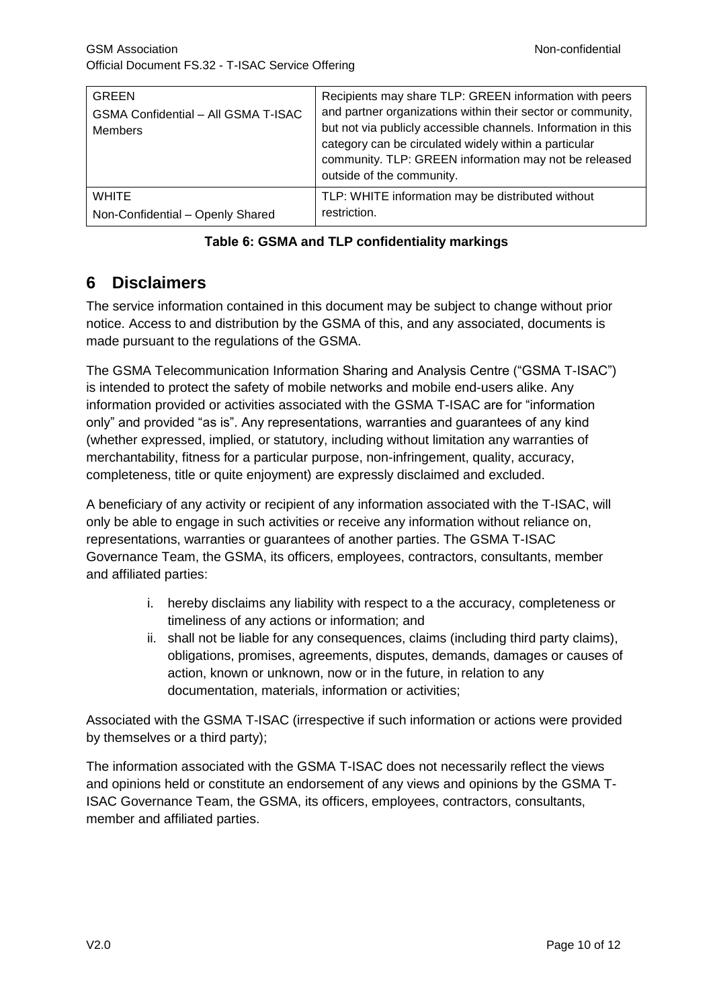| <b>GREEN</b><br><b>GSMA Confidential - All GSMA T-ISAC</b><br><b>Members</b> | Recipients may share TLP: GREEN information with peers<br>and partner organizations within their sector or community,<br>but not via publicly accessible channels. Information in this<br>category can be circulated widely within a particular<br>community. TLP: GREEN information may not be released<br>outside of the community. |
|------------------------------------------------------------------------------|---------------------------------------------------------------------------------------------------------------------------------------------------------------------------------------------------------------------------------------------------------------------------------------------------------------------------------------|
| <b>WHITE</b>                                                                 | TLP: WHITE information may be distributed without                                                                                                                                                                                                                                                                                     |
| Non-Confidential - Openly Shared                                             | restriction.                                                                                                                                                                                                                                                                                                                          |

#### **Table 6: GSMA and TLP confidentiality markings**

### <span id="page-9-0"></span>**6 Disclaimers**

The service information contained in this document may be subject to change without prior notice. Access to and distribution by the GSMA of this, and any associated, documents is made pursuant to the regulations of the GSMA.

The GSMA Telecommunication Information Sharing and Analysis Centre ("GSMA T-ISAC") is intended to protect the safety of mobile networks and mobile end-users alike. Any information provided or activities associated with the GSMA T-ISAC are for "information only" and provided "as is". Any representations, warranties and guarantees of any kind (whether expressed, implied, or statutory, including without limitation any warranties of merchantability, fitness for a particular purpose, non-infringement, quality, accuracy, completeness, title or quite enjoyment) are expressly disclaimed and excluded.

A beneficiary of any activity or recipient of any information associated with the T-ISAC, will only be able to engage in such activities or receive any information without reliance on, representations, warranties or guarantees of another parties. The GSMA T-ISAC Governance Team, the GSMA, its officers, employees, contractors, consultants, member and affiliated parties:

- i. hereby disclaims any liability with respect to a the accuracy, completeness or timeliness of any actions or information; and
- ii. shall not be liable for any consequences, claims (including third party claims), obligations, promises, agreements, disputes, demands, damages or causes of action, known or unknown, now or in the future, in relation to any documentation, materials, information or activities;

Associated with the GSMA T-ISAC (irrespective if such information or actions were provided by themselves or a third party);

The information associated with the GSMA T-ISAC does not necessarily reflect the views and opinions held or constitute an endorsement of any views and opinions by the GSMA T-ISAC Governance Team, the GSMA, its officers, employees, contractors, consultants, member and affiliated parties.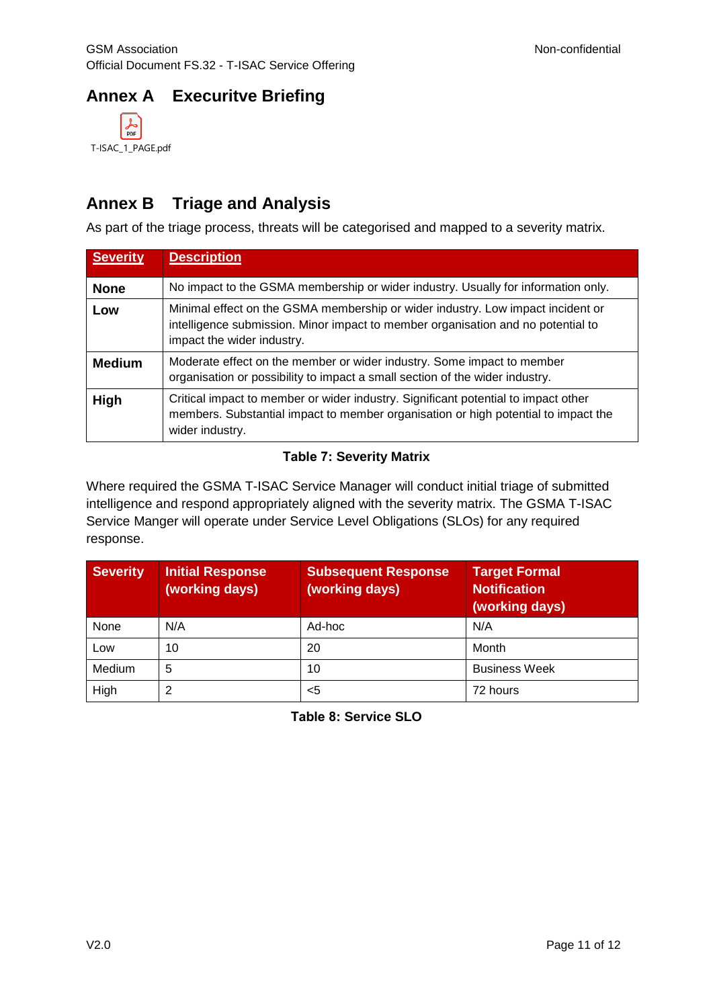## <span id="page-10-0"></span>**Annex A Execuritve Briefing**

<span id="page-10-2"></span>

### <span id="page-10-1"></span>**Annex B Triage and Analysis**

As part of the triage process, threats will be categorised and mapped to a severity matrix.

| <b>Severity</b> | <b>Description</b>                                                                                                                                                                                |  |  |
|-----------------|---------------------------------------------------------------------------------------------------------------------------------------------------------------------------------------------------|--|--|
| <b>None</b>     | No impact to the GSMA membership or wider industry. Usually for information only.                                                                                                                 |  |  |
| Low             | Minimal effect on the GSMA membership or wider industry. Low impact incident or<br>intelligence submission. Minor impact to member organisation and no potential to<br>impact the wider industry. |  |  |
| <b>Medium</b>   | Moderate effect on the member or wider industry. Some impact to member<br>organisation or possibility to impact a small section of the wider industry.                                            |  |  |
| High            | Critical impact to member or wider industry. Significant potential to impact other<br>members. Substantial impact to member organisation or high potential to impact the<br>wider industry.       |  |  |

#### **Table 7: Severity Matrix**

Where required the GSMA T-ISAC Service Manager will conduct initial triage of submitted intelligence and respond appropriately aligned with the severity matrix. The GSMA T-ISAC Service Manger will operate under Service Level Obligations (SLOs) for any required response.

| <b>Severity</b> | <b>Initial Response</b><br>(working days) | <b>Subsequent Response</b><br>(working days) | <b>Target Formal</b><br><b>Notification</b><br>(working days) |
|-----------------|-------------------------------------------|----------------------------------------------|---------------------------------------------------------------|
| None            | N/A                                       | Ad-hoc                                       | N/A                                                           |
| Low             | 10                                        | 20                                           | Month                                                         |
| Medium          | 5                                         | 10                                           | <b>Business Week</b>                                          |
| High            | າ                                         | <5                                           | 72 hours                                                      |

**Table 8: Service SLO**